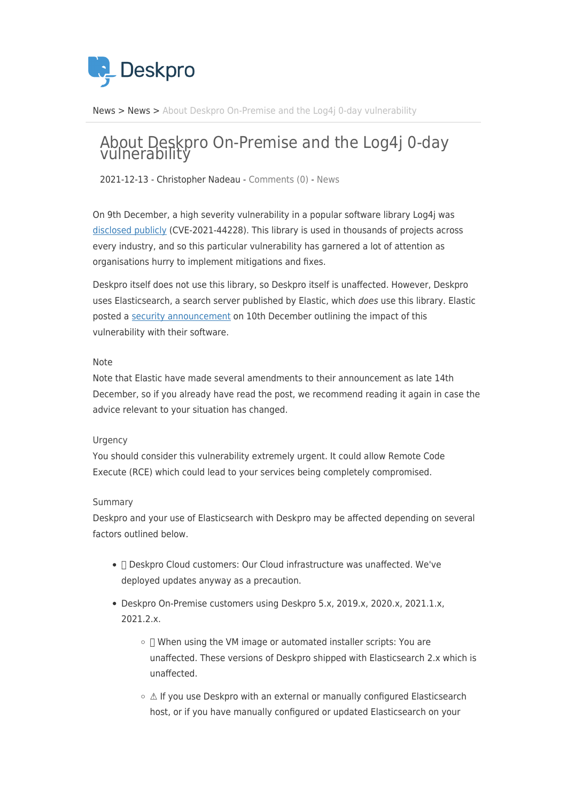

[News](https://support.deskpro.com/ga/news) > [News](https://support.deskpro.com/ga/news/news) > [About Deskpro On-Premise and the Log4j 0-day vulnerability](https://support.deskpro.com/ga/news/posts/about-deskpro-on-premise-and-the-log4j-0-day-vulnerability)

# About Deskpro On-Premise and the Log4j 0-day vulnerability

2021-12-13 - Christopher Nadeau - [Comments \(0\)](#page--1-0) - [News](https://support.deskpro.com/ga/news/news)

On 9th December, a high severity vulnerability in a popular software library Log4j was [disclosed publicly](https://github.com/apache/logging-log4j2/pull/608) (CVE-2021-44228). This library is used in thousands of projects across every industry, and so this particular vulnerability has garnered a lot of attention as organisations hurry to implement mitigations and fixes.

Deskpro itself does not use this library, so Deskpro itself is unaffected. However, Deskpro uses Elasticsearch, a search server published by Elastic, which *does* use this library. Elastic posted a [security announcement](https://discuss.elastic.co/t/apache-log4j2-remote-code-execution-rce-vulnerability-cve-2021-44228-esa-2021-31/291476?ultron=log4js-exploit&blade=announcement&hulk=email) on 10th December outlining the impact of this vulnerability with their software.

#### Note

Note that Elastic have made several amendments to their announcement as late 14th December, so if you already have read the post, we recommend reading it again in case the advice relevant to your situation has changed.

## **Urgency**

You should consider this vulnerability extremely urgent. It could allow Remote Code Execute (RCE) which could lead to your services being completely compromised.

## Summary

Deskpro and your use of Elasticsearch with Deskpro may be affected depending on several factors outlined below.

- ✅ Deskpro Cloud customers: Our Cloud infrastructure was unaffected. We've deployed updates anyway as a precaution.
- Deskpro On-Premise customers using Deskpro 5.x, 2019.x, 2020.x, 2021.1.x, 2021.2.x.
	- ✅ When using the VM image or automated installer scripts: You are unaffected. These versions of Deskpro shipped with Elasticsearch 2.x which is unaffected.
	- ⚠️ If you use Deskpro with an external or manually configured Elasticsearch host, or if you have manually configured or updated Elasticsearch on your